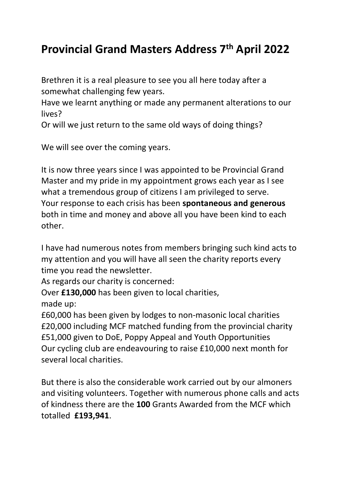## Provincial Grand Masters Address 7th April 2022

Brethren it is a real pleasure to see you all here today after a somewhat challenging few years.

Have we learnt anything or made any permanent alterations to our lives?

Or will we just return to the same old ways of doing things?

We will see over the coming years.

It is now three years since I was appointed to be Provincial Grand Master and my pride in my appointment grows each year as I see what a tremendous group of citizens I am privileged to serve. Your response to each crisis has been spontaneous and generous both in time and money and above all you have been kind to each other.

I have had numerous notes from members bringing such kind acts to my attention and you will have all seen the charity reports every time you read the newsletter.

As regards our charity is concerned:

Over £130,000 has been given to local charities, made up:

£60,000 has been given by lodges to non-masonic local charities £20,000 including MCF matched funding from the provincial charity £51,000 given to DoE, Poppy Appeal and Youth Opportunities Our cycling club are endeavouring to raise £10,000 next month for several local charities.

But there is also the considerable work carried out by our almoners and visiting volunteers. Together with numerous phone calls and acts of kindness there are the 100 Grants Awarded from the MCF which totalled £193,941.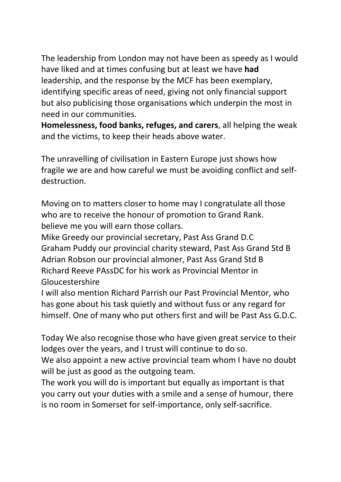The leadership from London may not have been as speedy as I would have liked and at times confusing but at least we have had leadership, and the response by the MCF has been exemplary, identifying specific areas of need, giving not only financial support but also publicising those organisations which underpin the most in need in our communities.

Homelessness, food banks, refuges, and carers, all helping the weak and the victims, to keep their heads above water.

The unravelling of civilisation in Eastern Europe just shows how fragile we are and how careful we must be avoiding conflict and selfdestruction.

Moving on to matters closer to home may I congratulate all those who are to receive the honour of promotion to Grand Rank. believe me you will earn those collars.

Mike Greedy our provincial secretary, Past Ass Grand D.C Graham Puddy our provincial charity steward, Past Ass Grand Std B Adrian Robson our provincial almoner, Past Ass Grand Std B Richard Reeve PAssDC for his work as Provincial Mentor in Gloucestershire

I will also mention Richard Parrish our Past Provincial Mentor, who has gone about his task quietly and without fuss or any regard for himself. One of many who put others first and will be Past Ass G.D.C.

Today We also recognise those who have given great service to their lodges over the years, and I trust will continue to do so.

We also appoint a new active provincial team whom I have no doubt will be just as good as the outgoing team.

The work you will do is important but equally as important is that you carry out your duties with a smile and a sense of humour, there is no room in Somerset for self-importance, only self-sacrifice.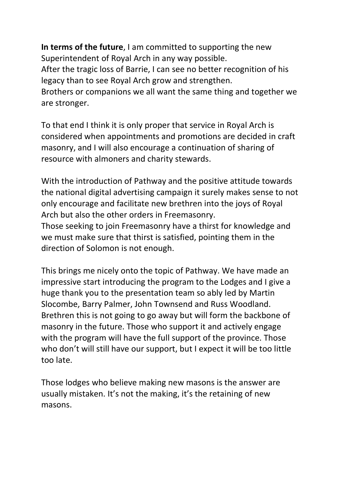In terms of the future, I am committed to supporting the new Superintendent of Royal Arch in any way possible.

After the tragic loss of Barrie, I can see no better recognition of his legacy than to see Royal Arch grow and strengthen.

Brothers or companions we all want the same thing and together we are stronger.

To that end I think it is only proper that service in Royal Arch is considered when appointments and promotions are decided in craft masonry, and I will also encourage a continuation of sharing of resource with almoners and charity stewards.

With the introduction of Pathway and the positive attitude towards the national digital advertising campaign it surely makes sense to not only encourage and facilitate new brethren into the joys of Royal Arch but also the other orders in Freemasonry.

Those seeking to join Freemasonry have a thirst for knowledge and we must make sure that thirst is satisfied, pointing them in the direction of Solomon is not enough.

This brings me nicely onto the topic of Pathway. We have made an impressive start introducing the program to the Lodges and I give a huge thank you to the presentation team so ably led by Martin Slocombe, Barry Palmer, John Townsend and Russ Woodland. Brethren this is not going to go away but will form the backbone of masonry in the future. Those who support it and actively engage with the program will have the full support of the province. Those who don't will still have our support, but I expect it will be too little too late.

Those lodges who believe making new masons is the answer are usually mistaken. It's not the making, it's the retaining of new masons.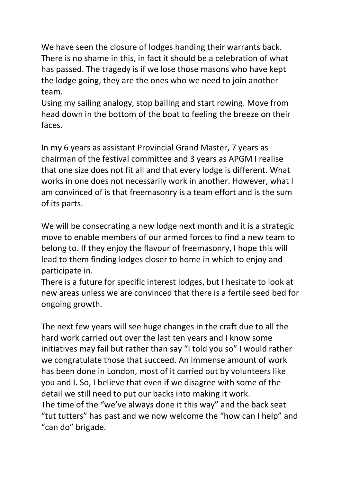We have seen the closure of lodges handing their warrants back. There is no shame in this, in fact it should be a celebration of what has passed. The tragedy is if we lose those masons who have kept the lodge going, they are the ones who we need to join another team.

Using my sailing analogy, stop bailing and start rowing. Move from head down in the bottom of the boat to feeling the breeze on their faces.

In my 6 years as assistant Provincial Grand Master, 7 years as chairman of the festival committee and 3 years as APGM I realise that one size does not fit all and that every lodge is different. What works in one does not necessarily work in another. However, what I am convinced of is that freemasonry is a team effort and is the sum of its parts.

We will be consecrating a new lodge next month and it is a strategic move to enable members of our armed forces to find a new team to belong to. If they enjoy the flavour of freemasonry, I hope this will lead to them finding lodges closer to home in which to enjoy and participate in.

There is a future for specific interest lodges, but I hesitate to look at new areas unless we are convinced that there is a fertile seed bed for ongoing growth.

The next few years will see huge changes in the craft due to all the hard work carried out over the last ten years and I know some initiatives may fail but rather than say "I told you so" I would rather we congratulate those that succeed. An immense amount of work has been done in London, most of it carried out by volunteers like you and I. So, I believe that even if we disagree with some of the detail we still need to put our backs into making it work. The time of the "we've always done it this way" and the back seat "tut tutters" has past and we now welcome the "how can I help" and "can do" brigade.